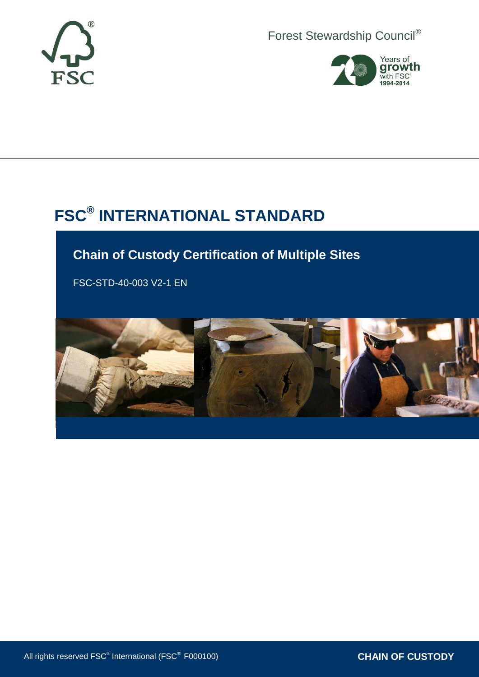

Forest Stewardship Council®



# **FSC® INTERNATIONAL STANDARD**

## **Chain of Custody Certification of Multiple Sites**

FSC-STD-40-003 V2-1 EN

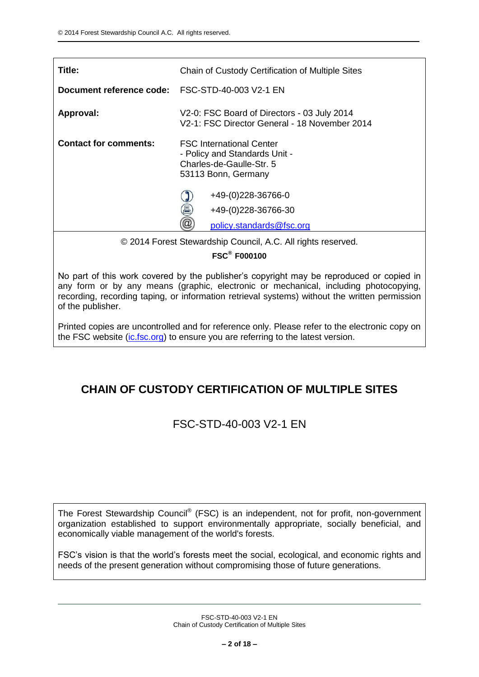| Title:                       | Chain of Custody Certification of Multiple Sites                                                                    |  |  |
|------------------------------|---------------------------------------------------------------------------------------------------------------------|--|--|
| Document reference code:     | FSC-STD-40-003 V2-1 EN                                                                                              |  |  |
| Approval:                    | V2-0: FSC Board of Directors - 03 July 2014<br>V2-1: FSC Director General - 18 November 2014                        |  |  |
| <b>Contact for comments:</b> | <b>FSC International Center</b><br>- Policy and Standards Unit -<br>Charles-de-Gaulle-Str. 5<br>53113 Bonn, Germany |  |  |
|                              | $+49(0)228-36766-0$<br>昌<br>+49-(0)228-36766-30                                                                     |  |  |
|                              | policy.standards@fsc.org                                                                                            |  |  |

© 2014 Forest Stewardship Council, A.C. All rights reserved.

**FSC® F000100**

No part of this work covered by the publisher's copyright may be reproduced or copied in any form or by any means (graphic, electronic or mechanical, including photocopying, recording, recording taping, or information retrieval systems) without the written permission of the publisher.

Printed copies are uncontrolled and for reference only. Please refer to the electronic copy on the FSC website [\(ic.fsc.org\)](http://ic.fsc.org/) to ensure you are referring to the latest version.

## **CHAIN OF CUSTODY CERTIFICATION OF MULTIPLE SITES**

FSC-STD-40-003 V2-1 EN

The Forest Stewardship Council® (FSC) is an independent, not for profit, non-government organization established to support environmentally appropriate, socially beneficial, and economically viable management of the world's forests.

FSC's vision is that the world's forests meet the social, ecological, and economic rights and needs of the present generation without compromising those of future generations.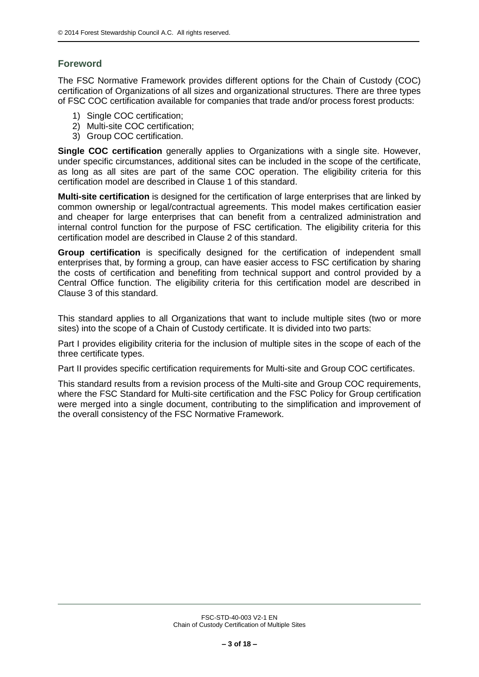## **Foreword**

The FSC Normative Framework provides different options for the Chain of Custody (COC) certification of Organizations of all sizes and organizational structures. There are three types of FSC COC certification available for companies that trade and/or process forest products:

- 1) Single COC certification;
- 2) Multi-site COC certification;
- 3) Group COC certification.

**Single COC certification** generally applies to Organizations with a single site. However, under specific circumstances, additional sites can be included in the scope of the certificate, as long as all sites are part of the same COC operation. The eligibility criteria for this certification model are described in Clause 1 of this standard.

**Multi-site certification** is designed for the certification of large enterprises that are linked by common ownership or legal/contractual agreements. This model makes certification easier and cheaper for large enterprises that can benefit from a centralized administration and internal control function for the purpose of FSC certification. The eligibility criteria for this certification model are described in Clause 2 of this standard.

**Group certification** is specifically designed for the certification of independent small enterprises that, by forming a group, can have easier access to FSC certification by sharing the costs of certification and benefiting from technical support and control provided by a Central Office function. The eligibility criteria for this certification model are described in Clause 3 of this standard.

This standard applies to all Organizations that want to include multiple sites (two or more sites) into the scope of a Chain of Custody certificate. It is divided into two parts:

Part I provides eligibility criteria for the inclusion of multiple sites in the scope of each of the three certificate types.

Part II provides specific certification requirements for Multi-site and Group COC certificates.

This standard results from a revision process of the Multi-site and Group COC requirements, where the FSC Standard for Multi-site certification and the FSC Policy for Group certification were merged into a single document, contributing to the simplification and improvement of the overall consistency of the FSC Normative Framework.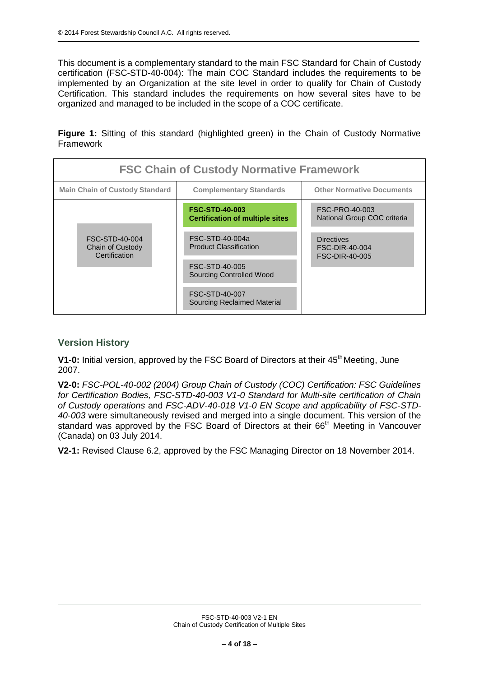This document is a complementary standard to the main FSC Standard for Chain of Custody certification (FSC-STD-40-004): The main COC Standard includes the requirements to be implemented by an Organization at the site level in order to qualify for Chain of Custody Certification. This standard includes the requirements on how several sites have to be organized and managed to be included in the scope of a COC certificate.

**Figure 1:** Sitting of this standard (highlighted green) in the Chain of Custody Normative Framework

| <b>FSC Chain of Custody Normative Framework</b>     |                                                                 |                                                              |  |  |  |
|-----------------------------------------------------|-----------------------------------------------------------------|--------------------------------------------------------------|--|--|--|
| <b>Main Chain of Custody Standard</b>               | <b>Complementary Standards</b>                                  | <b>Other Normative Documents</b>                             |  |  |  |
| FSC-STD-40-004<br>Chain of Custody<br>Certification | <b>FSC-STD-40-003</b><br><b>Certification of multiple sites</b> | FSC-PRO-40-003<br>National Group COC criteria                |  |  |  |
|                                                     | FSC-STD-40-004a<br><b>Product Classification</b>                | <b>Directives</b><br>FSC-DIR-40-004<br><b>FSC-DIR-40-005</b> |  |  |  |
|                                                     | FSC-STD-40-005<br><b>Sourcing Controlled Wood</b>               |                                                              |  |  |  |
|                                                     | FSC-STD-40-007<br><b>Sourcing Reclaimed Material</b>            |                                                              |  |  |  |

## **Version History**

**V1-0:** Initial version, approved by the FSC Board of Directors at their 45<sup>th</sup> Meeting, June 2007.

**V2-0:** *FSC-POL-40-002 (2004) Group Chain of Custody (COC) Certification: FSC Guidelines for Certification Bodies, FSC-STD-40-003 V1-0 Standard for Multi-site certification of Chain of Custody operations* and *FSC-ADV-40-018 V1-0 EN Scope and applicability of FSC-STD-40-003* were simultaneously revised and merged into a single document. This version of the standard was approved by the FSC Board of Directors at their 66<sup>th</sup> Meeting in Vancouver (Canada) on 03 July 2014.

**V2-1:** Revised Clause 6.2, approved by the FSC Managing Director on 18 November 2014.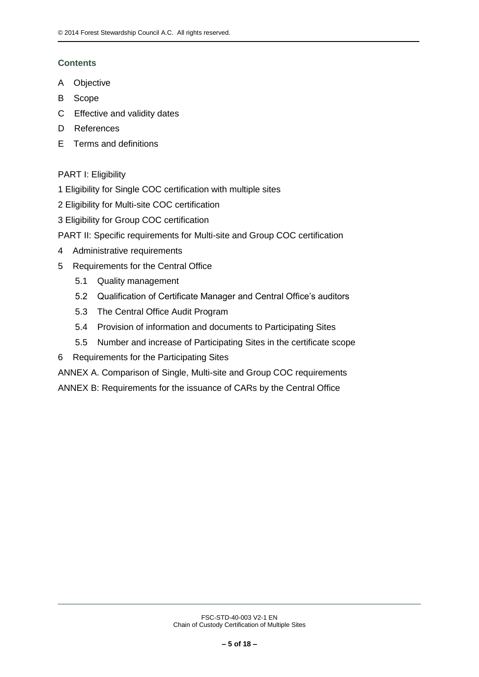## **Contents**

- A Objective
- B Scope
- C Effective and validity dates
- D References
- E Terms and definitions

## PART I: Eligibility

- 1 Eligibility for Single COC certification with multiple sites
- 2 Eligibility for Multi-site COC certification
- 3 Eligibility for Group COC certification
- PART II: Specific requirements for Multi-site and Group COC certification
- 4 Administrative requirements
- 5 Requirements for the Central Office
	- 5.1 Quality management
	- 5.2 Qualification of Certificate Manager and Central Office's auditors
	- 5.3 The Central Office Audit Program
	- 5.4 Provision of information and documents to Participating Sites
	- 5.5 Number and increase of Participating Sites in the certificate scope
- 6 Requirements for the Participating Sites
- ANNEX A. Comparison of Single, Multi-site and Group COC requirements
- ANNEX B: Requirements for the issuance of CARs by the Central Office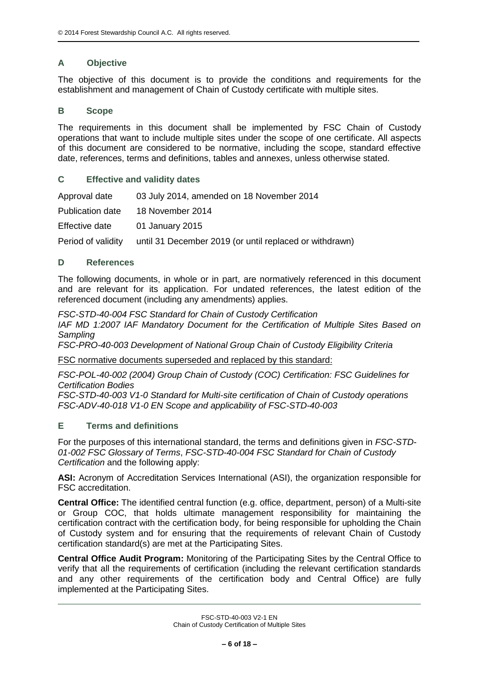## **A Objective**

The objective of this document is to provide the conditions and requirements for the establishment and management of Chain of Custody certificate with multiple sites.

## **B Scope**

The requirements in this document shall be implemented by FSC Chain of Custody operations that want to include multiple sites under the scope of one certificate. All aspects of this document are considered to be normative, including the scope, standard effective date, references, terms and definitions, tables and annexes, unless otherwise stated.

## **C Effective and validity dates**

Approval date 03 July 2014, amended on 18 November 2014 Publication date 18 November 2014 Effective date 01 January 2015 Period of validity until 31 December 2019 (or until replaced or withdrawn)

## **D References**

The following documents, in whole or in part, are normatively referenced in this document and are relevant for its application. For undated references, the latest edition of the referenced document (including any amendments) applies.

*FSC-STD-40-004 FSC Standard for Chain of Custody Certification IAF MD 1:2007 IAF Mandatory Document for the Certification of Multiple Sites Based on Sampling* 

*FSC-PRO-40-003 Development of National Group Chain of Custody Eligibility Criteria*

FSC normative documents superseded and replaced by this standard:

*FSC-POL-40-002 (2004) Group Chain of Custody (COC) Certification: FSC Guidelines for Certification Bodies*

*FSC-STD-40-003 V1-0 Standard for Multi-site certification of Chain of Custody operations FSC-ADV-40-018 V1-0 EN Scope and applicability of FSC-STD-40-003*

#### **E Terms and definitions**

For the purposes of this international standard, the terms and definitions given in *FSC-STD-01-002 FSC Glossary of Terms*, *FSC-STD-40-004 FSC Standard for Chain of Custody Certification* and the following apply:

**ASI:** Acronym of Accreditation Services International (ASI), the organization responsible for FSC accreditation.

**Central Office:** The identified central function (e.g. office, department, person) of a Multi-site or Group COC, that holds ultimate management responsibility for maintaining the certification contract with the certification body, for being responsible for upholding the Chain of Custody system and for ensuring that the requirements of relevant Chain of Custody certification standard(s) are met at the Participating Sites.

**Central Office Audit Program:** Monitoring of the Participating Sites by the Central Office to verify that all the requirements of certification (including the relevant certification standards and any other requirements of the certification body and Central Office) are fully implemented at the Participating Sites.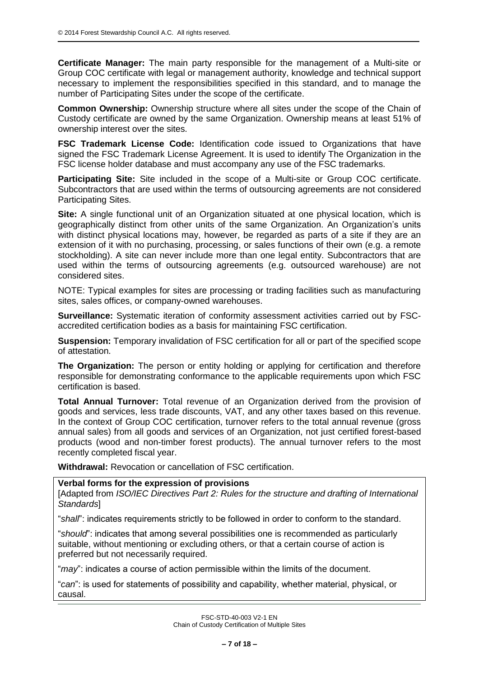**Certificate Manager:** The main party responsible for the management of a Multi-site or Group COC certificate with legal or management authority, knowledge and technical support necessary to implement the responsibilities specified in this standard, and to manage the number of Participating Sites under the scope of the certificate.

**Common Ownership:** Ownership structure where all sites under the scope of the Chain of Custody certificate are owned by the same Organization. Ownership means at least 51% of ownership interest over the sites.

**FSC Trademark License Code:** Identification code issued to Organizations that have signed the FSC Trademark License Agreement. It is used to identify The Organization in the FSC license holder database and must accompany any use of the FSC trademarks.

**Participating Site:** Site included in the scope of a Multi-site or Group COC certificate. Subcontractors that are used within the terms of outsourcing agreements are not considered Participating Sites.

**Site:** A single functional unit of an Organization situated at one physical location, which is geographically distinct from other units of the same Organization. An Organization's units with distinct physical locations may, however, be regarded as parts of a site if they are an extension of it with no purchasing, processing, or sales functions of their own (e.g. a remote stockholding). A site can never include more than one legal entity. Subcontractors that are used within the terms of outsourcing agreements (e.g. outsourced warehouse) are not considered sites.

NOTE: Typical examples for sites are processing or trading facilities such as manufacturing sites, sales offices, or company-owned warehouses.

**Surveillance:** Systematic iteration of conformity assessment activities carried out by FSCaccredited certification bodies as a basis for maintaining FSC certification.

**Suspension:** Temporary invalidation of FSC certification for all or part of the specified scope of attestation.

**The Organization:** The person or entity holding or applying for certification and therefore responsible for demonstrating conformance to the applicable requirements upon which FSC certification is based.

**Total Annual Turnover:** Total revenue of an Organization derived from the provision of goods and services, less trade discounts, VAT, and any other taxes based on this revenue. In the context of Group COC certification, turnover refers to the total annual revenue (gross annual sales) from all goods and services of an Organization, not just certified forest-based products (wood and non-timber forest products). The annual turnover refers to the most recently completed fiscal year.

**Withdrawal:** Revocation or cancellation of FSC certification.

## **Verbal forms for the expression of provisions**

[Adapted from *ISO/IEC Directives Part 2: Rules for the structure and drafting of International Standards*]

"*shall*": indicates requirements strictly to be followed in order to conform to the standard.

"*should*": indicates that among several possibilities one is recommended as particularly suitable, without mentioning or excluding others, or that a certain course of action is preferred but not necessarily required.

"*may*": indicates a course of action permissible within the limits of the document.

"*can*": is used for statements of possibility and capability, whether material, physical, or causal.

> FSC-STD-40-003 V2-1 EN Chain of Custody Certification of Multiple Sites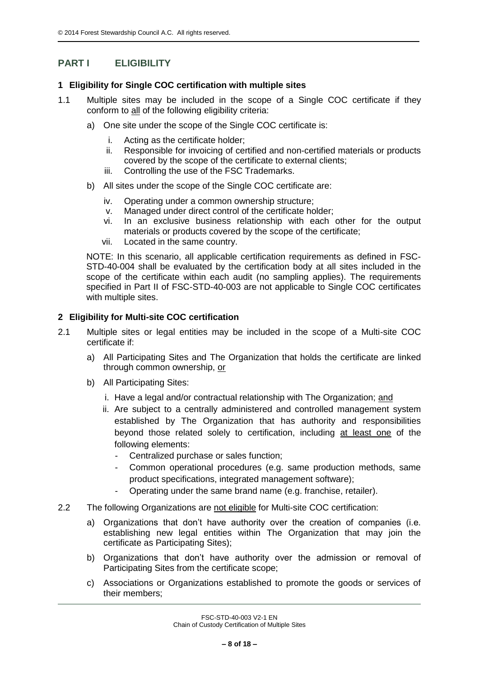## **PART I ELIGIBILITY**

## **1 Eligibility for Single COC certification with multiple sites**

- 1.1 Multiple sites may be included in the scope of a Single COC certificate if they conform to all of the following eligibility criteria:
	- a) One site under the scope of the Single COC certificate is:
		- i. Acting as the certificate holder;
		- ii. Responsible for invoicing of certified and non-certified materials or products covered by the scope of the certificate to external clients;
		- iii. Controlling the use of the FSC Trademarks.
	- b) All sites under the scope of the Single COC certificate are:
		- iv. Operating under a common ownership structure;
		- v. Managed under direct control of the certificate holder;
		- vi. In an exclusive business relationship with each other for the output materials or products covered by the scope of the certificate;
		- vii. Located in the same country.

NOTE: In this scenario, all applicable certification requirements as defined in FSC-STD-40-004 shall be evaluated by the certification body at all sites included in the scope of the certificate within each audit (no sampling applies). The requirements specified in Part II of FSC-STD-40-003 are not applicable to Single COC certificates with multiple sites.

## **2 Eligibility for Multi-site COC certification**

- 2.1 Multiple sites or legal entities may be included in the scope of a Multi-site COC certificate if:
	- a) All Participating Sites and The Organization that holds the certificate are linked through common ownership, or
	- b) All Participating Sites:
		- i. Have a legal and/or contractual relationship with The Organization; and
		- ii. Are subject to a centrally administered and controlled management system established by The Organization that has authority and responsibilities beyond those related solely to certification, including at least one of the following elements:
			- Centralized purchase or sales function:
			- Common operational procedures (e.g. same production methods, same product specifications, integrated management software);
			- Operating under the same brand name (e.g. franchise, retailer).
- 2.2 The following Organizations are not eligible for Multi-site COC certification:
	- a) Organizations that don't have authority over the creation of companies (i.e. establishing new legal entities within The Organization that may join the certificate as Participating Sites);
	- b) Organizations that don't have authority over the admission or removal of Participating Sites from the certificate scope;
	- c) Associations or Organizations established to promote the goods or services of their members;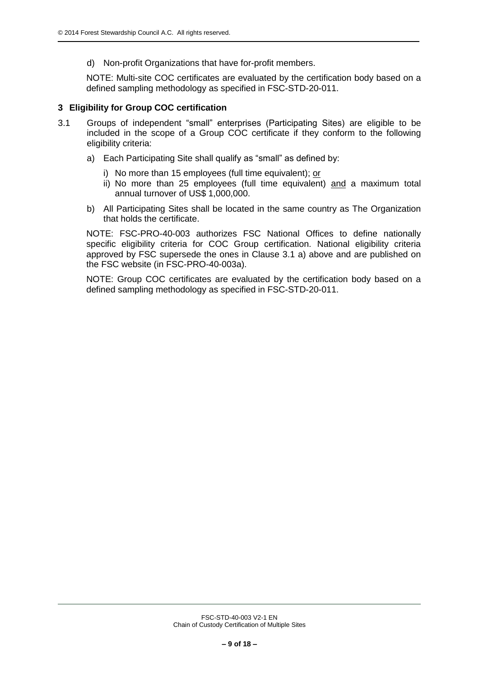d) Non-profit Organizations that have for-profit members.

NOTE: Multi-site COC certificates are evaluated by the certification body based on a defined sampling methodology as specified in FSC-STD-20-011.

## **3 Eligibility for Group COC certification**

- 3.1 Groups of independent "small" enterprises (Participating Sites) are eligible to be included in the scope of a Group COC certificate if they conform to the following eligibility criteria:
	- a) Each Participating Site shall qualify as "small" as defined by:
		- i) No more than 15 employees (full time equivalent); or
		- ii) No more than 25 employees (full time equivalent) and a maximum total annual turnover of US\$ 1,000,000.
	- b) All Participating Sites shall be located in the same country as The Organization that holds the certificate.

NOTE: FSC-PRO-40-003 authorizes FSC National Offices to define nationally specific eligibility criteria for COC Group certification. National eligibility criteria approved by FSC supersede the ones in Clause 3.1 a) above and are published on the FSC website (in FSC-PRO-40-003a).

NOTE: Group COC certificates are evaluated by the certification body based on a defined sampling methodology as specified in FSC-STD-20-011.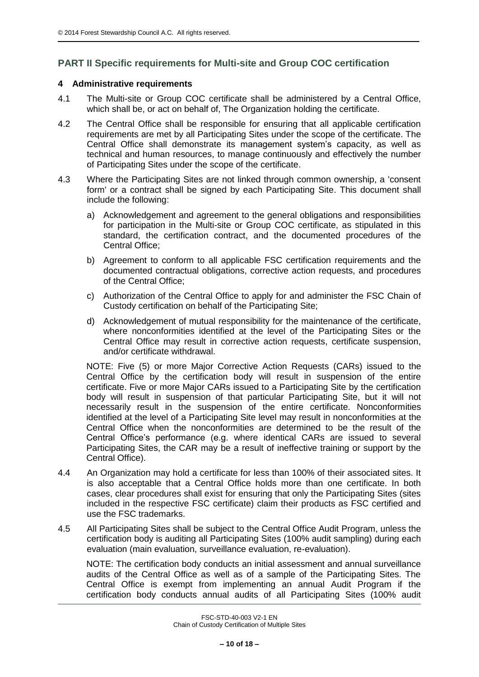## **PART II Specific requirements for Multi-site and Group COC certification**

## **4 Administrative requirements**

- 4.1 The Multi-site or Group COC certificate shall be administered by a Central Office, which shall be, or act on behalf of, The Organization holding the certificate.
- 4.2 The Central Office shall be responsible for ensuring that all applicable certification requirements are met by all Participating Sites under the scope of the certificate. The Central Office shall demonstrate its management system's capacity, as well as technical and human resources, to manage continuously and effectively the number of Participating Sites under the scope of the certificate.
- 4.3 Where the Participating Sites are not linked through common ownership, a 'consent form' or a contract shall be signed by each Participating Site. This document shall include the following:
	- a) Acknowledgement and agreement to the general obligations and responsibilities for participation in the Multi-site or Group COC certificate, as stipulated in this standard, the certification contract, and the documented procedures of the Central Office;
	- b) Agreement to conform to all applicable FSC certification requirements and the documented contractual obligations, corrective action requests, and procedures of the Central Office;
	- c) Authorization of the Central Office to apply for and administer the FSC Chain of Custody certification on behalf of the Participating Site;
	- d) Acknowledgement of mutual responsibility for the maintenance of the certificate, where nonconformities identified at the level of the Participating Sites or the Central Office may result in corrective action requests, certificate suspension, and/or certificate withdrawal.

NOTE: Five (5) or more Major Corrective Action Requests (CARs) issued to the Central Office by the certification body will result in suspension of the entire certificate. Five or more Major CARs issued to a Participating Site by the certification body will result in suspension of that particular Participating Site, but it will not necessarily result in the suspension of the entire certificate. Nonconformities identified at the level of a Participating Site level may result in nonconformities at the Central Office when the nonconformities are determined to be the result of the Central Office's performance (e.g. where identical CARs are issued to several Participating Sites, the CAR may be a result of ineffective training or support by the Central Office).

- 4.4 An Organization may hold a certificate for less than 100% of their associated sites. It is also acceptable that a Central Office holds more than one certificate. In both cases, clear procedures shall exist for ensuring that only the Participating Sites (sites included in the respective FSC certificate) claim their products as FSC certified and use the FSC trademarks.
- 4.5 All Participating Sites shall be subject to the Central Office Audit Program, unless the certification body is auditing all Participating Sites (100% audit sampling) during each evaluation (main evaluation, surveillance evaluation, re-evaluation).

NOTE: The certification body conducts an initial assessment and annual surveillance audits of the Central Office as well as of a sample of the Participating Sites. The Central Office is exempt from implementing an annual Audit Program if the certification body conducts annual audits of all Participating Sites (100% audit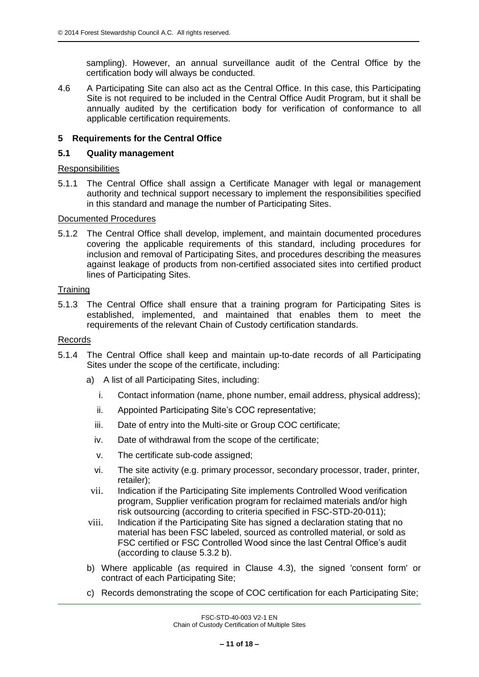sampling). However, an annual surveillance audit of the Central Office by the certification body will always be conducted.

4.6 A Participating Site can also act as the Central Office. In this case, this Participating Site is not required to be included in the Central Office Audit Program, but it shall be annually audited by the certification body for verification of conformance to all applicable certification requirements.

## **5 Requirements for the Central Office**

## **5.1 Quality management**

#### **Responsibilities**

5.1.1 The Central Office shall assign a Certificate Manager with legal or management authority and technical support necessary to implement the responsibilities specified in this standard and manage the number of Participating Sites.

#### Documented Procedures

5.1.2 The Central Office shall develop, implement, and maintain documented procedures covering the applicable requirements of this standard, including procedures for inclusion and removal of Participating Sites, and procedures describing the measures against leakage of products from non-certified associated sites into certified product lines of Participating Sites.

## **Training**

5.1.3 The Central Office shall ensure that a training program for Participating Sites is established, implemented, and maintained that enables them to meet the requirements of the relevant Chain of Custody certification standards.

#### Records

- 5.1.4 The Central Office shall keep and maintain up-to-date records of all Participating Sites under the scope of the certificate, including:
	- a) A list of all Participating Sites, including:
		- i. Contact information (name, phone number, email address, physical address);
		- ii. Appointed Participating Site's COC representative;
		- iii. Date of entry into the Multi-site or Group COC certificate;
		- iv. Date of withdrawal from the scope of the certificate;
		- v. The certificate sub-code assigned;
		- vi. The site activity (e.g. primary processor, secondary processor, trader, printer, retailer);
	- vii. Indication if the Participating Site implements Controlled Wood verification program, Supplier verification program for reclaimed materials and/or high risk outsourcing (according to criteria specified in FSC-STD-20-011);
	- viii. Indication if the Participating Site has signed a declaration stating that no material has been FSC labeled, sourced as controlled material, or sold as FSC certified or FSC Controlled Wood since the last Central Office's audit (according to clause 5.3.2 b).
	- b) Where applicable (as required in Clause 4.3), the signed 'consent form' or contract of each Participating Site;
	- c) Records demonstrating the scope of COC certification for each Participating Site;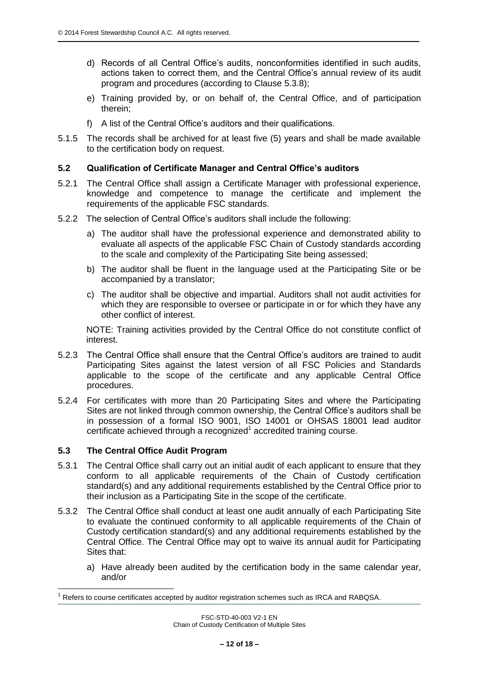- d) Records of all Central Office's audits, nonconformities identified in such audits, actions taken to correct them, and the Central Office's annual review of its audit program and procedures (according to Clause 5.3.8);
- e) Training provided by, or on behalf of, the Central Office, and of participation therein;
- f) A list of the Central Office's auditors and their qualifications.
- 5.1.5 The records shall be archived for at least five (5) years and shall be made available to the certification body on request.

## **5.2 Qualification of Certificate Manager and Central Office's auditors**

- 5.2.1 The Central Office shall assign a Certificate Manager with professional experience, knowledge and competence to manage the certificate and implement the requirements of the applicable FSC standards.
- 5.2.2 The selection of Central Office's auditors shall include the following:
	- a) The auditor shall have the professional experience and demonstrated ability to evaluate all aspects of the applicable FSC Chain of Custody standards according to the scale and complexity of the Participating Site being assessed;
	- b) The auditor shall be fluent in the language used at the Participating Site or be accompanied by a translator;
	- c) The auditor shall be objective and impartial. Auditors shall not audit activities for which they are responsible to oversee or participate in or for which they have any other conflict of interest.

NOTE: Training activities provided by the Central Office do not constitute conflict of interest.

- 5.2.3 The Central Office shall ensure that the Central Office's auditors are trained to audit Participating Sites against the latest version of all FSC Policies and Standards applicable to the scope of the certificate and any applicable Central Office procedures.
- 5.2.4 For certificates with more than 20 Participating Sites and where the Participating Sites are not linked through common ownership, the Central Office's auditors shall be in possession of a formal ISO 9001, ISO 14001 or OHSAS 18001 lead auditor certificate achieved through a recognized<sup>1</sup> accredited training course.

#### **5.3 The Central Office Audit Program**

1

- 5.3.1 The Central Office shall carry out an initial audit of each applicant to ensure that they conform to all applicable requirements of the Chain of Custody certification standard(s) and any additional requirements established by the Central Office prior to their inclusion as a Participating Site in the scope of the certificate.
- 5.3.2 The Central Office shall conduct at least one audit annually of each Participating Site to evaluate the continued conformity to all applicable requirements of the Chain of Custody certification standard(s) and any additional requirements established by the Central Office. The Central Office may opt to waive its annual audit for Participating Sites that:
	- a) Have already been audited by the certification body in the same calendar year, and/or

<sup>1</sup> Refers to course certificates accepted by auditor registration schemes such as IRCA and RABQSA.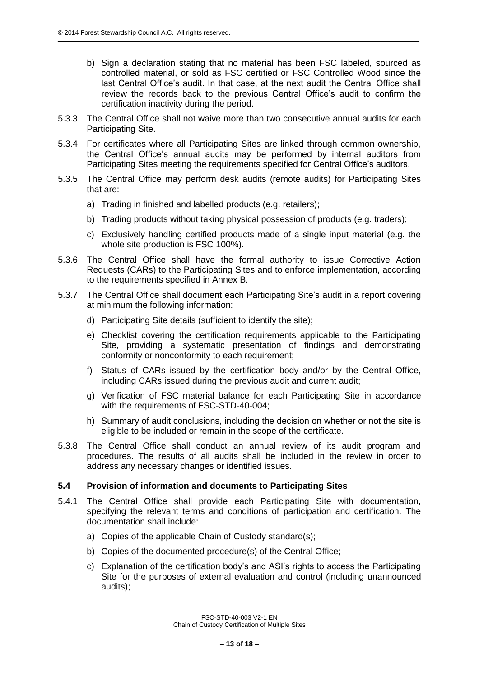- b) Sign a declaration stating that no material has been FSC labeled, sourced as controlled material, or sold as FSC certified or FSC Controlled Wood since the last Central Office's audit. In that case, at the next audit the Central Office shall review the records back to the previous Central Office's audit to confirm the certification inactivity during the period.
- 5.3.3 The Central Office shall not waive more than two consecutive annual audits for each Participating Site.
- 5.3.4 For certificates where all Participating Sites are linked through common ownership, the Central Office's annual audits may be performed by internal auditors from Participating Sites meeting the requirements specified for Central Office's auditors.
- 5.3.5 The Central Office may perform desk audits (remote audits) for Participating Sites that are:
	- a) Trading in finished and labelled products (e.g. retailers);
	- b) Trading products without taking physical possession of products (e.g. traders);
	- c) Exclusively handling certified products made of a single input material (e.g. the whole site production is FSC 100%).
- 5.3.6 The Central Office shall have the formal authority to issue Corrective Action Requests (CARs) to the Participating Sites and to enforce implementation, according to the requirements specified in Annex B.
- 5.3.7 The Central Office shall document each Participating Site's audit in a report covering at minimum the following information:
	- d) Participating Site details (sufficient to identify the site);
	- e) Checklist covering the certification requirements applicable to the Participating Site, providing a systematic presentation of findings and demonstrating conformity or nonconformity to each requirement;
	- f) Status of CARs issued by the certification body and/or by the Central Office, including CARs issued during the previous audit and current audit;
	- g) Verification of FSC material balance for each Participating Site in accordance with the requirements of FSC-STD-40-004;
	- h) Summary of audit conclusions, including the decision on whether or not the site is eligible to be included or remain in the scope of the certificate.
- 5.3.8 The Central Office shall conduct an annual review of its audit program and procedures. The results of all audits shall be included in the review in order to address any necessary changes or identified issues.

## **5.4 Provision of information and documents to Participating Sites**

- 5.4.1 The Central Office shall provide each Participating Site with documentation, specifying the relevant terms and conditions of participation and certification. The documentation shall include:
	- a) Copies of the applicable Chain of Custody standard(s);
	- b) Copies of the documented procedure(s) of the Central Office;
	- c) Explanation of the certification body's and ASI's rights to access the Participating Site for the purposes of external evaluation and control (including unannounced audits);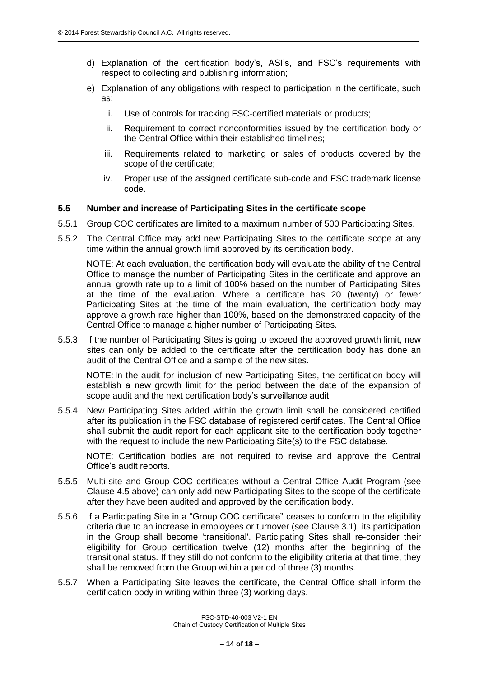- d) Explanation of the certification body's, ASI's, and FSC's requirements with respect to collecting and publishing information;
- e) Explanation of any obligations with respect to participation in the certificate, such as:
	- i. Use of controls for tracking FSC-certified materials or products;
	- ii. Requirement to correct nonconformities issued by the certification body or the Central Office within their established timelines;
	- iii. Requirements related to marketing or sales of products covered by the scope of the certificate;
	- iv. Proper use of the assigned certificate sub-code and FSC trademark license code.

## **5.5 Number and increase of Participating Sites in the certificate scope**

- 5.5.1 Group COC certificates are limited to a maximum number of 500 Participating Sites.
- 5.5.2 The Central Office may add new Participating Sites to the certificate scope at any time within the annual growth limit approved by its certification body.

NOTE: At each evaluation, the certification body will evaluate the ability of the Central Office to manage the number of Participating Sites in the certificate and approve an annual growth rate up to a limit of 100% based on the number of Participating Sites at the time of the evaluation. Where a certificate has 20 (twenty) or fewer Participating Sites at the time of the main evaluation, the certification body may approve a growth rate higher than 100%, based on the demonstrated capacity of the Central Office to manage a higher number of Participating Sites.

5.5.3 If the number of Participating Sites is going to exceed the approved growth limit, new sites can only be added to the certificate after the certification body has done an audit of the Central Office and a sample of the new sites.

NOTE: In the audit for inclusion of new Participating Sites, the certification body will establish a new growth limit for the period between the date of the expansion of scope audit and the next certification body's surveillance audit.

5.5.4 New Participating Sites added within the growth limit shall be considered certified after its publication in the FSC database of registered certificates. The Central Office shall submit the audit report for each applicant site to the certification body together with the request to include the new Participating Site(s) to the FSC database.

NOTE: Certification bodies are not required to revise and approve the Central Office's audit reports.

- 5.5.5 Multi-site and Group COC certificates without a Central Office Audit Program (see Clause 4.5 above) can only add new Participating Sites to the scope of the certificate after they have been audited and approved by the certification body.
- 5.5.6 If a Participating Site in a "Group COC certificate" ceases to conform to the eligibility criteria due to an increase in employees or turnover (see Clause 3.1), its participation in the Group shall become 'transitional'. Participating Sites shall re-consider their eligibility for Group certification twelve (12) months after the beginning of the transitional status. If they still do not conform to the eligibility criteria at that time, they shall be removed from the Group within a period of three (3) months.
- 5.5.7 When a Participating Site leaves the certificate, the Central Office shall inform the certification body in writing within three (3) working days.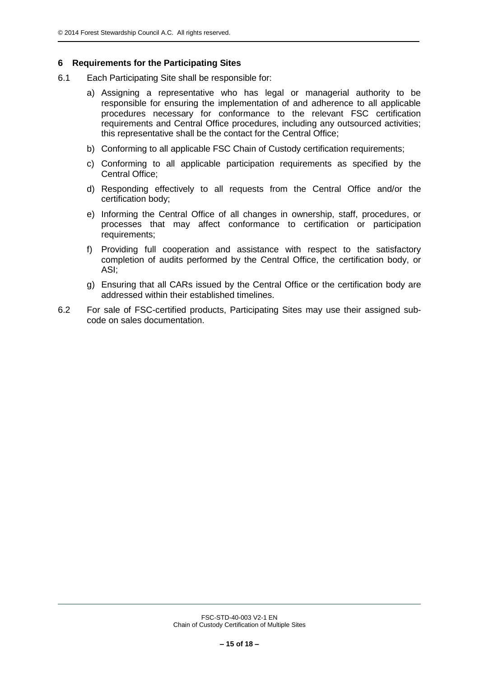## **6 Requirements for the Participating Sites**

- 6.1 Each Participating Site shall be responsible for:
	- a) Assigning a representative who has legal or managerial authority to be responsible for ensuring the implementation of and adherence to all applicable procedures necessary for conformance to the relevant FSC certification requirements and Central Office procedures, including any outsourced activities; this representative shall be the contact for the Central Office;
	- b) Conforming to all applicable FSC Chain of Custody certification requirements;
	- c) Conforming to all applicable participation requirements as specified by the Central Office;
	- d) Responding effectively to all requests from the Central Office and/or the certification body;
	- e) Informing the Central Office of all changes in ownership, staff, procedures, or processes that may affect conformance to certification or participation requirements;
	- f) Providing full cooperation and assistance with respect to the satisfactory completion of audits performed by the Central Office, the certification body, or ASI;
	- g) Ensuring that all CARs issued by the Central Office or the certification body are addressed within their established timelines.
- 6.2 For sale of FSC-certified products, Participating Sites may use their assigned subcode on sales documentation.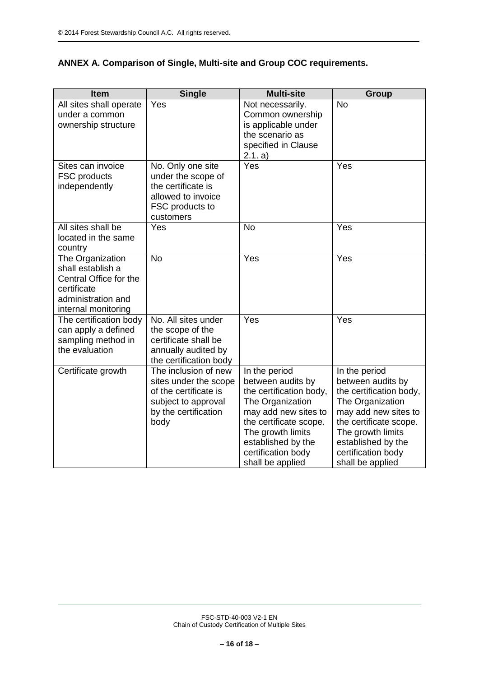## **ANNEX A. Comparison of Single, Multi-site and Group COC requirements.**

| Item                                                                                                                        | <b>Single</b>                                                                                                                 | <b>Multi-site</b>                                                                                                                                                                                                        | <b>Group</b>                                                                                                                                                                                                             |
|-----------------------------------------------------------------------------------------------------------------------------|-------------------------------------------------------------------------------------------------------------------------------|--------------------------------------------------------------------------------------------------------------------------------------------------------------------------------------------------------------------------|--------------------------------------------------------------------------------------------------------------------------------------------------------------------------------------------------------------------------|
| All sites shall operate<br>under a common<br>ownership structure                                                            | Yes                                                                                                                           | Not necessarily.<br>Common ownership<br>is applicable under<br>the scenario as<br>specified in Clause<br>2.1. a)                                                                                                         | <b>No</b>                                                                                                                                                                                                                |
| Sites can invoice<br><b>FSC</b> products<br>independently                                                                   | No. Only one site<br>under the scope of<br>the certificate is<br>allowed to invoice<br>FSC products to<br>customers           | Yes                                                                                                                                                                                                                      | Yes                                                                                                                                                                                                                      |
| All sites shall be<br>located in the same<br>country                                                                        | Yes                                                                                                                           | <b>No</b>                                                                                                                                                                                                                | Yes                                                                                                                                                                                                                      |
| The Organization<br>shall establish a<br>Central Office for the<br>certificate<br>administration and<br>internal monitoring | <b>No</b>                                                                                                                     | Yes                                                                                                                                                                                                                      | Yes                                                                                                                                                                                                                      |
| The certification body<br>can apply a defined<br>sampling method in<br>the evaluation                                       | No. All sites under<br>the scope of the<br>certificate shall be<br>annually audited by<br>the certification body              | Yes                                                                                                                                                                                                                      | Yes                                                                                                                                                                                                                      |
| Certificate growth                                                                                                          | The inclusion of new<br>sites under the scope<br>of the certificate is<br>subject to approval<br>by the certification<br>body | In the period<br>between audits by<br>the certification body,<br>The Organization<br>may add new sites to<br>the certificate scope.<br>The growth limits<br>established by the<br>certification body<br>shall be applied | In the period<br>between audits by<br>the certification body,<br>The Organization<br>may add new sites to<br>the certificate scope.<br>The growth limits<br>established by the<br>certification body<br>shall be applied |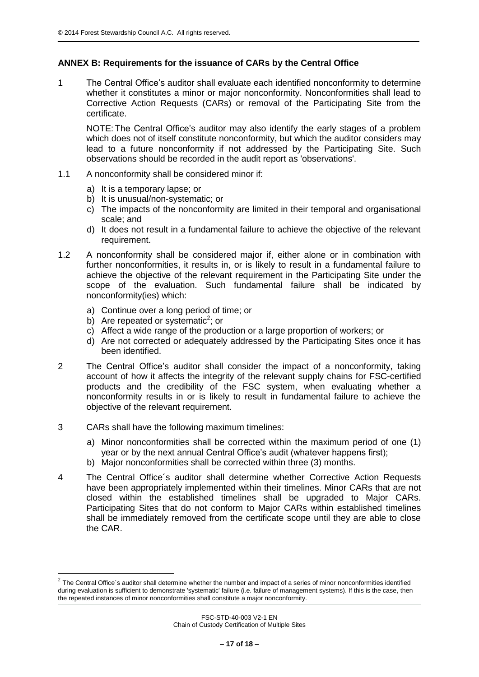## **ANNEX B: Requirements for the issuance of CARs by the Central Office**

1 The Central Office's auditor shall evaluate each identified nonconformity to determine whether it constitutes a minor or major nonconformity. Nonconformities shall lead to Corrective Action Requests (CARs) or removal of the Participating Site from the certificate.

NOTE: The Central Office's auditor may also identify the early stages of a problem which does not of itself constitute nonconformity, but which the auditor considers may lead to a future nonconformity if not addressed by the Participating Site. Such observations should be recorded in the audit report as 'observations'.

- 1.1 A nonconformity shall be considered minor if:
	- a) It is a temporary lapse; or
	- b) It is unusual/non-systematic; or
	- c) The impacts of the nonconformity are limited in their temporal and organisational scale; and
	- d) It does not result in a fundamental failure to achieve the objective of the relevant requirement.
- 1.2 A nonconformity shall be considered major if, either alone or in combination with further nonconformities, it results in, or is likely to result in a fundamental failure to achieve the objective of the relevant requirement in the Participating Site under the scope of the evaluation. Such fundamental failure shall be indicated by nonconformity(ies) which:
	- a) Continue over a long period of time; or
	- b) Are repeated or systematic<sup>2</sup>; or
	- c) Affect a wide range of the production or a large proportion of workers; or
	- d) Are not corrected or adequately addressed by the Participating Sites once it has been identified.
- 2 The Central Office's auditor shall consider the impact of a nonconformity, taking account of how it affects the integrity of the relevant supply chains for FSC-certified products and the credibility of the FSC system, when evaluating whether a nonconformity results in or is likely to result in fundamental failure to achieve the objective of the relevant requirement.
- 3 CARs shall have the following maximum timelines:

1

- a) Minor nonconformities shall be corrected within the maximum period of one (1) year or by the next annual Central Office's audit (whatever happens first);
- b) Major nonconformities shall be corrected within three (3) months.
- 4 The Central Office´s auditor shall determine whether Corrective Action Requests have been appropriately implemented within their timelines. Minor CARs that are not closed within the established timelines shall be upgraded to Major CARs. Participating Sites that do not conform to Major CARs within established timelines shall be immediately removed from the certificate scope until they are able to close the CAR.

 $^2$  The Central Office's auditor shall determine whether the number and impact of a series of minor nonconformities identified during evaluation is sufficient to demonstrate 'systematic' failure (i.e. failure of management systems). If this is the case, then the repeated instances of minor nonconformities shall constitute a major nonconformity.